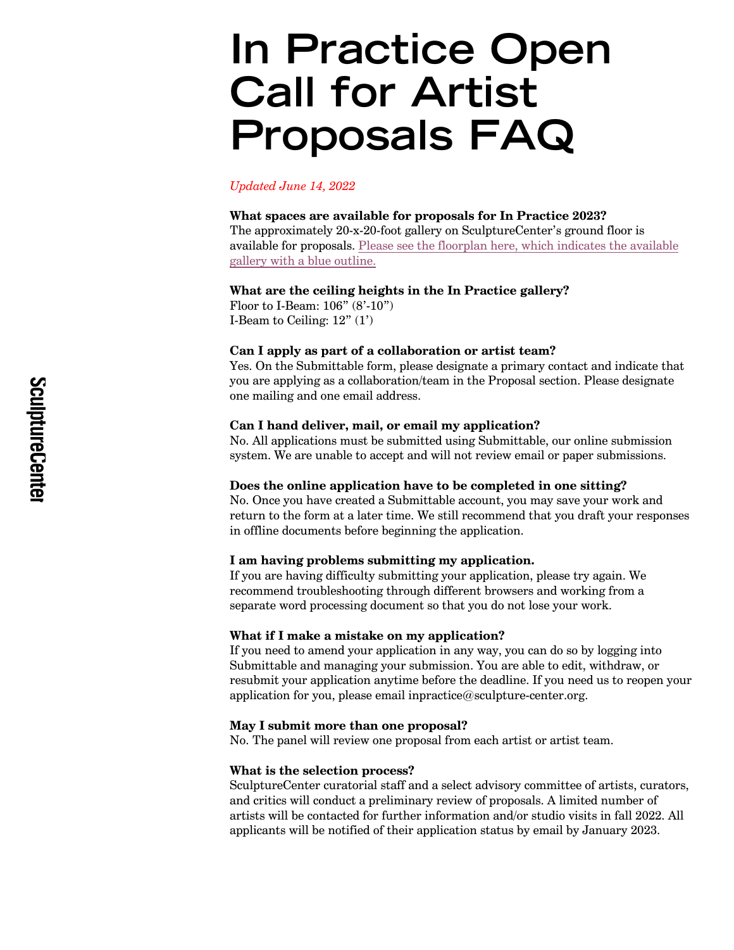# In Practice Open Call for Artist Proposals FAQ

*Updated June 14, 2022*

#### **What spaces are available for proposals for In Practice 2023?**

The approximately 20-x-20-foot gallery on SculptureCenter's ground floor is available for proposals. Please see the floorplan here, which indicates the available gallery with a blue outline.

## **What are the ceiling heights in the In Practice gallery?**

Floor to I-Beam: 106" (8'-10") I-Beam to Ceiling:  $12" (1')$ 

## **Can I apply as part of a collaboration or artist team?**

Yes. On the Submittable form, please designate a primary contact and indicate that you are applying as a collaboration/team in the Proposal section. Please designate one mailing and one email address.

#### **Can I hand deliver, mail, or email my application?**

No. All applications must be submitted using Submittable, our online submission system. We are unable to accept and will not review email or paper submissions.

#### **Does the online application have to be completed in one sitting?**

No. Once you have created a Submittable account, you may save your work and return to the form at a later time. We still recommend that you draft your responses in offline documents before beginning the application.

# **I am having problems submitting my application.**

If you are having difficulty submitting your application, please try again. We recommend troubleshooting through different browsers and working from a separate word processing document so that you do not lose your work.

#### **What if I make a mistake on my application?**

If you need to amend your application in any way, you can do so by logging into Submittable and managing your submission. You are able to edit, withdraw, or resubmit your application anytime before the deadline. If you need us to reopen your application for you, please email inpractice@sculpture-center.org.

# **May I submit more than one proposal?**

No. The panel will review one proposal from each artist or artist team.

## **What is the selection process?**

SculptureCenter curatorial staff and a select advisory committee of artists, curators, and critics will conduct a preliminary review of proposals. A limited number of artists will be contacted for further information and/or studio visits in fall 2022. All applicants will be notified of their application status by email by January 2023.